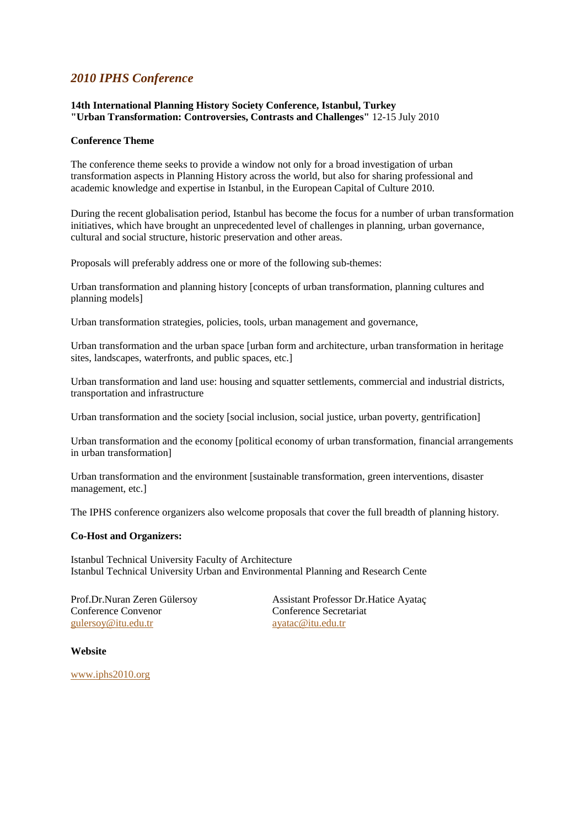# *2010 IPHS Conference*

#### **14th International Planning History Society Conference, Istanbul, Turkey "Urban Transformation: Controversies, Contrasts and Challenges"** 12-15 July 2010

#### **Conference Theme**

The conference theme seeks to provide a window not only for a broad investigation of urban transformation aspects in Planning History across the world, but also for sharing professional and academic knowledge and expertise in Istanbul, in the European Capital of Culture 2010.

During the recent globalisation period, Istanbul has become the focus for a number of urban transformation initiatives, which have brought an unprecedented level of challenges in planning, urban governance, cultural and social structure, historic preservation and other areas.

Proposals will preferably address one or more of the following sub-themes:

Urban transformation and planning history [concepts of urban transformation, planning cultures and planning models]

Urban transformation strategies, policies, tools, urban management and governance,

Urban transformation and the urban space [urban form and architecture, urban transformation in heritage sites, landscapes, waterfronts, and public spaces, etc.]

Urban transformation and land use: housing and squatter settlements, commercial and industrial districts, transportation and infrastructure

Urban transformation and the society [social inclusion, social justice, urban poverty, gentrification]

Urban transformation and the economy [political economy of urban transformation, financial arrangements in urban transformation]

Urban transformation and the environment [sustainable transformation, green interventions, disaster management, etc.]

The IPHS conference organizers also welcome proposals that cover the full breadth of planning history.

#### **Co-Host and Organizers:**

Istanbul Technical University Faculty of Architecture Istanbul Technical University Urban and Environmental Planning and Research Cente

Prof.Dr.Nuran Zeren Gülersoy Conference Convenor [gulersoy@itu.edu.tr](mailto:gulersoy@itu.edu.tr)

Assistant Professor Dr.Hatice Ayataç Conference Secretariat [ayatac@itu.edu.tr](mailto:ayatac@itu.edu.tr)

#### **Website**

[www.iphs2010.org](http://www.iphs2010.org/)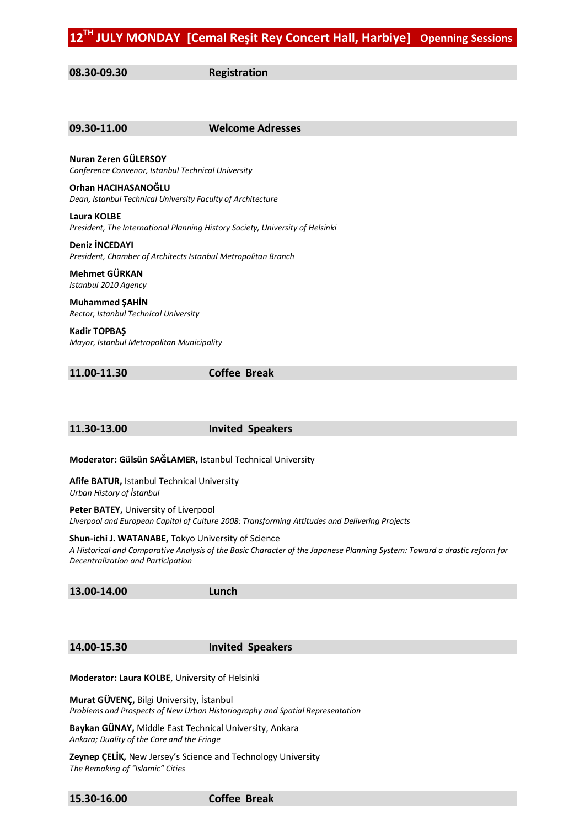**08.30-09.30 Registration**

| Nuran Zeren GÜLERSOY<br>Conference Convenor, Istanbul Technical University                   |
|----------------------------------------------------------------------------------------------|
| Orhan HACIHASANOĞLU<br>Dean, Istanbul Technical University Faculty of Architecture           |
| Laura KOLBE<br>President, The International Planning History Society, University of Helsinki |
| <b>Deniz INCEDAYI</b><br>President, Chamber of Architects Istanbul Metropolitan Branch       |
| Mehmet GÜRKAN<br>Istanbul 2010 Agency                                                        |
| <b>Muhammed ŞAHİN</b><br>Rector, Istanbul Technical University                               |
| Kadir TOPBAŞ<br>Mayor, Istanbul Metropolitan Municipality                                    |

**09.30-11.00 Welcome Adresses** 

**11.00-11.30 Coffee Break**

#### **11.30-13.00 Invited Speakers**

**Moderator: Gülsün SAĞLAMER,** Istanbul Technical University

**Afife BATUR,** Istanbul Technical University *Urban History of İstanbul*

**Peter BATEY,** University of Liverpool *Liverpool and European Capital of Culture 2008: Transforming Attitudes and Delivering Projects*

**Shun-ichi J. WATANABE,** Tokyo University of Science

*A Historical and Comparative Analysis of the Basic Character of the Japanese Planning System: Toward a drastic reform for Decentralization and Participation*

**13.00-14.00 Lunch**

**14.00-15.30 Invited Speakers**

**Moderator: Laura KOLBE**, University of Helsinki

**Murat GÜVENÇ,** Bilgi University, İstanbul *Problems and Prospects of New Urban Historiography and Spatial Representation*

**Baykan GÜNAY,** Middle East Technical University, Ankara *Ankara; Duality of the Core and the Fringe*

**Zeynep ÇELİK,** New Jersey's Science and Technology University *The Remaking of "Islamic" Cities*

**15.30-16.00 Coffee Break**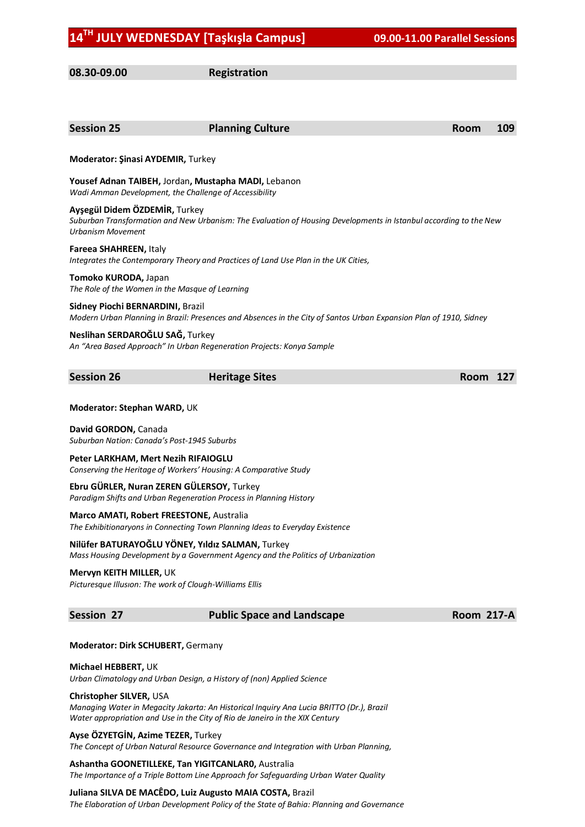**08.30-09.00 Registration**

| <b>Session 25</b>                                                                                  | <b>Planning Culture</b>                                                                                                                                                  | <b>Room</b>       | 109 |
|----------------------------------------------------------------------------------------------------|--------------------------------------------------------------------------------------------------------------------------------------------------------------------------|-------------------|-----|
| Moderator: Şinasi AYDEMIR, Turkey                                                                  |                                                                                                                                                                          |                   |     |
|                                                                                                    | Yousef Adnan TAIBEH, Jordan, Mustapha MADI, Lebanon<br>Wadi Amman Development, the Challenge of Accessibility                                                            |                   |     |
| Ayşegül Didem ÖZDEMİR, Turkey<br><b>Urbanism Movement</b>                                          | Suburban Transformation and New Urbanism: The Evaluation of Housing Developments in Istanbul according to the New                                                        |                   |     |
| Fareea SHAHREEN, Italy                                                                             | Integrates the Contemporary Theory and Practices of Land Use Plan in the UK Cities,                                                                                      |                   |     |
| Tomoko KURODA, Japan                                                                               | The Role of the Women in the Masque of Learning                                                                                                                          |                   |     |
| Sidney Piochi BERNARDINI, Brazil                                                                   | Modern Urban Planning in Brazil: Presences and Absences in the City of Santos Urban Expansion Plan of 1910, Sidney                                                       |                   |     |
| Neslihan SERDAROĞLU SAĞ, Turkey                                                                    | An "Area Based Approach" In Urban Regeneration Projects: Konya Sample                                                                                                    |                   |     |
| <b>Session 26</b>                                                                                  | <b>Heritage Sites</b>                                                                                                                                                    | <b>Room</b>       | 127 |
| Moderator: Stephan WARD, UK<br>David GORDON, Canada<br>Suburban Nation: Canada's Post-1945 Suburbs |                                                                                                                                                                          |                   |     |
| Peter LARKHAM, Mert Nezih RIFAIOGLU                                                                | Conserving the Heritage of Workers' Housing: A Comparative Study                                                                                                         |                   |     |
|                                                                                                    | Ebru GÜRLER, Nuran ZEREN GÜLERSOY, Turkey<br>Paradigm Shifts and Urban Regeneration Process in Planning History                                                          |                   |     |
|                                                                                                    | <b>Marco AMATI, Robert FREESTONE, Australia</b><br>The Exhibitionaryons in Connecting Town Planning Ideas to Everyday Existence                                          |                   |     |
|                                                                                                    | Nilüfer BATURAYOĞLU YÖNEY, Yıldız SALMAN, Turkey<br>Mass Housing Development by a Government Agency and the Politics of Urbanization                                     |                   |     |
| Mervyn KEITH MILLER, UK                                                                            | Picturesque Illusion: The work of Clough-Williams Ellis                                                                                                                  |                   |     |
| <b>Session 27</b>                                                                                  | <b>Public Space and Landscape</b>                                                                                                                                        | <b>Room 217-A</b> |     |
| Moderator: Dirk SCHUBERT, Germany                                                                  |                                                                                                                                                                          |                   |     |
| Michael HEBBERT, UK                                                                                | Urban Climatology and Urban Design, a History of (non) Applied Science                                                                                                   |                   |     |
| Christopher SILVER, USA                                                                            | Managing Water in Megacity Jakarta: An Historical Inquiry Ana Lucia BRITTO (Dr.), Brazil<br>Water appropriation and Use in the City of Rio de Janeiro in the XIX Century |                   |     |
| Ayse ÖZYETGİN, Azime TEZER, Turkey                                                                 | The Concept of Urban Natural Resource Governance and Integration with Urban Planning,                                                                                    |                   |     |

**Ashantha GOONETILLEKE, Tan YIGITCANLAR0,** Australia *The Importance of a Triple Bottom Line Approach for Safeguarding Urban Water Quality*

**Juliana SILVA DE MACÊDO, Luiz Augusto MAIA COSTA,** Brazil

*The Elaboration of Urban Development Policy of the State of Bahia: Planning and Governance*